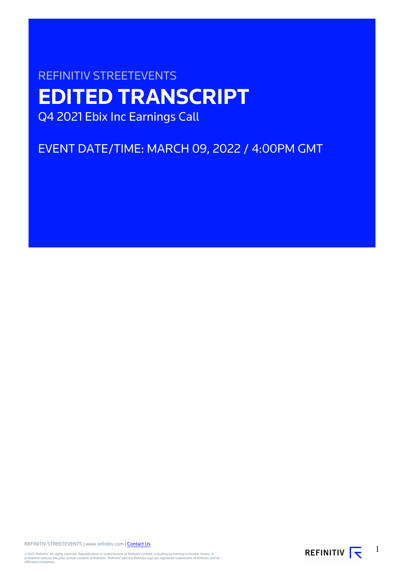# REFINITIV STREETEVENTS **EDITED TRANSCRIPT** Q4 2021 Ebix Inc Earnings Call

EVENT DATE/TIME: MARCH 09, 2022 / 4:00PM GMT

REFINITIV STREETEVENTS | www.refinitiv.com | [Contact Us](https://www.refinitiv.com/en/contact-us)

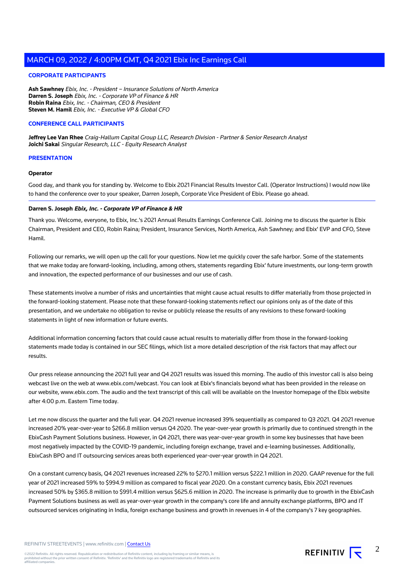#### **CORPORATE PARTICIPANTS**

**Ash Sawhney** Ebix, Inc. - President – Insurance Solutions of North America **Darren S. Joseph** Ebix, Inc. - Corporate VP of Finance & HR **Robin Raina** Ebix, Inc. - Chairman, CEO & President **Steven M. Hamil** Ebix, Inc. - Executive VP & Global CFO

#### **CONFERENCE CALL PARTICIPANTS**

**Jeffrey Lee Van Rhee** Craig-Hallum Capital Group LLC, Research Division - Partner & Senior Research Analyst **Joichi Sakai** Singular Research, LLC - Equity Research Analyst

#### **PRESENTATION**

#### **Operator**

Good day, and thank you for standing by. Welcome to Ebix 2021 Financial Results Investor Call. (Operator Instructions) I would now like to hand the conference over to your speaker, Darren Joseph, Corporate Vice President of Ebix. Please go ahead.

#### **Darren S. Joseph Ebix, Inc. - Corporate VP of Finance & HR**

Thank you. Welcome, everyone, to Ebix, Inc.'s 2021 Annual Results Earnings Conference Call. Joining me to discuss the quarter is Ebix Chairman, President and CEO, Robin Raina; President, Insurance Services, North America, Ash Sawhney; and Ebix' EVP and CFO, Steve Hamil.

Following our remarks, we will open up the call for your questions. Now let me quickly cover the safe harbor. Some of the statements that we make today are forward-looking, including, among others, statements regarding Ebix' future investments, our long-term growth and innovation, the expected performance of our businesses and our use of cash.

These statements involve a number of risks and uncertainties that might cause actual results to differ materially from those projected in the forward-looking statement. Please note that these forward-looking statements reflect our opinions only as of the date of this presentation, and we undertake no obligation to revise or publicly release the results of any revisions to these forward-looking statements in light of new information or future events.

Additional information concerning factors that could cause actual results to materially differ from those in the forward-looking statements made today is contained in our SEC filings, which list a more detailed description of the risk factors that may affect our results.

Our press release announcing the 2021 full year and Q4 2021 results was issued this morning. The audio of this investor call is also being webcast live on the web at www.ebix.com/webcast. You can look at Ebix's financials beyond what has been provided in the release on our website, www.ebix.com. The audio and the text transcript of this call will be available on the Investor homepage of the Ebix website after 4:00 p.m. Eastern Time today.

Let me now discuss the quarter and the full year. Q4 2021 revenue increased 39% sequentially as compared to Q3 2021. Q4 2021 revenue increased 20% year-over-year to \$266.8 million versus Q4 2020. The year-over-year growth is primarily due to continued strength in the EbixCash Payment Solutions business. However, in Q4 2021, there was year-over-year growth in some key businesses that have been most negatively impacted by the COVID-19 pandemic, including foreign exchange, travel and e-learning businesses. Additionally, EbixCash BPO and IT outsourcing services areas both experienced year-over-year growth in Q4 2021.

On a constant currency basis, Q4 2021 revenues increased 22% to \$270.1 million versus \$222.1 million in 2020. GAAP revenue for the full year of 2021 increased 59% to \$994.9 million as compared to fiscal year 2020. On a constant currency basis, Ebix 2021 revenues increased 50% by \$365.8 million to \$991.4 million versus \$625.6 million in 2020. The increase is primarily due to growth in the EbixCash Payment Solutions business as well as year-over-year growth in the company's core life and annuity exchange platforms, BPO and IT outsourced services originating in India, foreign exchange business and growth in revenues in 4 of the company's 7 key geographies.

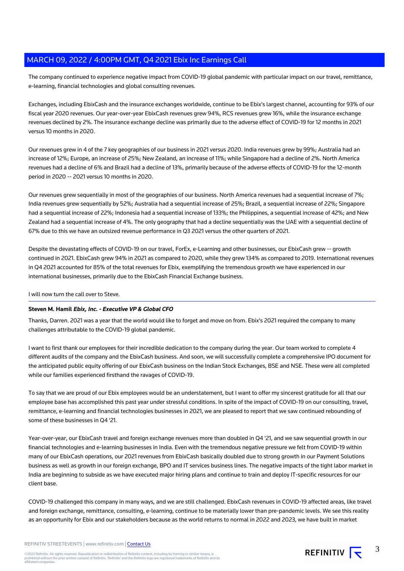The company continued to experience negative impact from COVID-19 global pandemic with particular impact on our travel, remittance, e-learning, financial technologies and global consulting revenues.

Exchanges, including EbixCash and the insurance exchanges worldwide, continue to be Ebix's largest channel, accounting for 93% of our fiscal year 2020 revenues. Our year-over-year EbixCash revenues grew 94%, RCS revenues grew 16%, while the insurance exchange revenues declined by 2%. The insurance exchange decline was primarily due to the adverse effect of COVID-19 for 12 months in 2021 versus 10 months in 2020.

Our revenues grew in 4 of the 7 key geographies of our business in 2021 versus 2020. India revenues grew by 99%; Australia had an increase of 12%; Europe, an increase of 25%; New Zealand, an increase of 11%; while Singapore had a decline of 2%. North America revenues had a decline of 6% and Brazil had a decline of 13%, primarily because of the adverse effects of COVID-19 for the 12-month period in 2020 -- 2021 versus 10 months in 2020.

Our revenues grew sequentially in most of the geographies of our business. North America revenues had a sequential increase of 7%; India revenues grew sequentially by 52%; Australia had a sequential increase of 25%; Brazil, a sequential increase of 22%; Singapore had a sequential increase of 22%; Indonesia had a sequential increase of 133%; the Philippines, a sequential increase of 42%; and New Zealand had a sequential increase of 4%. The only geography that had a decline sequentially was the UAE with a sequential decline of 67% due to this we have an outsized revenue performance in Q3 2021 versus the other quarters of 2021.

Despite the devastating effects of COVID-19 on our travel, ForEx, e-Learning and other businesses, our EbixCash grew -- growth continued in 2021. EbixCash grew 94% in 2021 as compared to 2020, while they grew 134% as compared to 2019. International revenues in Q4 2021 accounted for 85% of the total revenues for Ebix, exemplifying the tremendous growth we have experienced in our international businesses, primarily due to the EbixCash Financial Exchange business.

I will now turn the call over to Steve.

## **Steven M. Hamil Ebix, Inc. - Executive VP & Global CFO**

Thanks, Darren. 2021 was a year that the world would like to forget and move on from. Ebix's 2021 required the company to many challenges attributable to the COVID-19 global pandemic.

I want to first thank our employees for their incredible dedication to the company during the year. Our team worked to complete 4 different audits of the company and the EbixCash business. And soon, we will successfully complete a comprehensive IPO document for the anticipated public equity offering of our EbixCash business on the Indian Stock Exchanges, BSE and NSE. These were all completed while our families experienced firsthand the ravages of COVID-19.

To say that we are proud of our Ebix employees would be an understatement, but I want to offer my sincerest gratitude for all that our employee base has accomplished this past year under stressful conditions. In spite of the impact of COVID-19 on our consulting, travel, remittance, e-learning and financial technologies businesses in 2021, we are pleased to report that we saw continued rebounding of some of these businesses in Q4 '21.

Year-over-year, our EbixCash travel and foreign exchange revenues more than doubled in Q4 '21, and we saw sequential growth in our financial technologies and e-learning businesses in India. Even with the tremendous negative pressure we felt from COVID-19 within many of our EbixCash operations, our 2021 revenues from EbixCash basically doubled due to strong growth in our Payment Solutions business as well as growth in our foreign exchange, BPO and IT services business lines. The negative impacts of the tight labor market in India are beginning to subside as we have executed major hiring plans and continue to train and deploy IT-specific resources for our client base.

COVID-19 challenged this company in many ways, and we are still challenged. EbixCash revenues in COVID-19 affected areas, like travel and foreign exchange, remittance, consulting, e-learning, continue to be materially lower than pre-pandemic levels. We see this reality as an opportunity for Ebix and our stakeholders because as the world returns to normal in 2022 and 2023, we have built in market

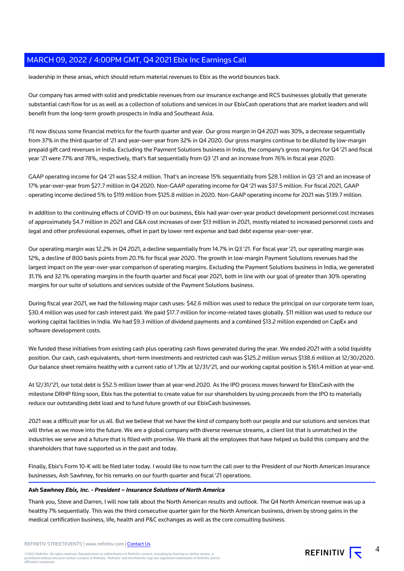leadership in these areas, which should return material revenues to Ebix as the world bounces back.

Our company has armed with solid and predictable revenues from our insurance exchange and RCS businesses globally that generate substantial cash flow for us as well as a collection of solutions and services in our EbixCash operations that are market leaders and will benefit from the long-term growth prospects in India and Southeast Asia.

I'll now discuss some financial metrics for the fourth quarter and year. Our gross margin in Q4 2021 was 30%, a decrease sequentially from 37% in the third quarter of '21 and year-over-year from 32% in Q4 2020. Our gross margins continue to be diluted by low-margin prepaid gift card revenues in India. Excluding the Payment Solutions business in India, the company's gross margins for Q4 '21 and fiscal year '21 were 77% and 78%, respectively, that's flat sequentially from Q3 '21 and an increase from 76% in fiscal year 2020.

GAAP operating income for Q4 '21 was \$32.4 million. That's an increase 15% sequentially from \$28.1 million in Q3 '21 and an increase of 17% year-over-year from \$27.7 million in Q4 2020. Non-GAAP operating income for Q4 '21 was \$37.5 million. For fiscal 2021, GAAP operating income declined 5% to \$119 million from \$125.8 million in 2020. Non-GAAP operating income for 2021 was \$139.7 million.

In addition to the continuing effects of COVID-19 on our business, Ebix had year-over-year product development personnel cost increases of approximately \$4.7 million in 2021 and G&A cost increases of over \$13 million in 2021, mostly related to increased personnel costs and legal and other professional expenses, offset in part by lower rent expense and bad debt expense year-over-year.

Our operating margin was 12.2% in Q4 2021, a decline sequentially from 14.7% in Q3 '21. For fiscal year '21, our operating margin was 12%, a decline of 800 basis points from 20.1% for fiscal year 2020. The growth in low-margin Payment Solutions revenues had the largest impact on the year-over-year comparison of operating margins. Excluding the Payment Solutions business in India, we generated 31.1% and 32.1% operating margins in the fourth quarter and fiscal year 2021, both in line with our goal of greater than 30% operating margins for our suite of solutions and services outside of the Payment Solutions business.

During fiscal year 2021, we had the following major cash uses: \$42.6 million was used to reduce the principal on our corporate term loan, \$30.4 million was used for cash interest paid. We paid \$17.7 million for income-related taxes globally. \$11 million was used to reduce our working capital facilities in India. We had \$9.3 million of dividend payments and a combined \$13.2 million expended on CapEx and software development costs.

We funded these initiatives from existing cash plus operating cash flows generated during the year. We ended 2021 with a solid liquidity position. Our cash, cash equivalents, short-term investments and restricted cash was \$125.2 million versus \$138.6 million at 12/30/2020. Our balance sheet remains healthy with a current ratio of 1.79x at 12/31/'21, and our working capital position is \$161.4 million at year-end.

At 12/31/'21, our total debt is \$52.5 million lower than at year-end 2020. As the IPO process moves forward for EbixCash with the milestone DRHP filing soon, Ebix has the potential to create value for our shareholders by using proceeds from the IPO to materially reduce our outstanding debt load and to fund future growth of our EbixCash businesses.

2021 was a difficult year for us all. But we believe that we have the kind of company both our people and our solutions and services that will thrive as we move into the future. We are a global company with diverse revenue streams, a client list that is unmatched in the industries we serve and a future that is filled with promise. We thank all the employees that have helped us build this company and the shareholders that have supported us in the past and today.

Finally, Ebix's Form 10-K will be filed later today. I would like to now turn the call over to the President of our North American insurance businesses, Ash Sawhney, for his remarks on our fourth quarter and fiscal '21 operations.

#### **Ash Sawhney Ebix, Inc. - President – Insurance Solutions of North America**

Thank you, Steve and Darren, I will now talk about the North American results and outlook. The Q4 North American revenue was up a healthy 7% sequentially. This was the third consecutive quarter gain for the North American business, driven by strong gains in the medical certification business, life, health and P&C exchanges as well as the core consulting business.

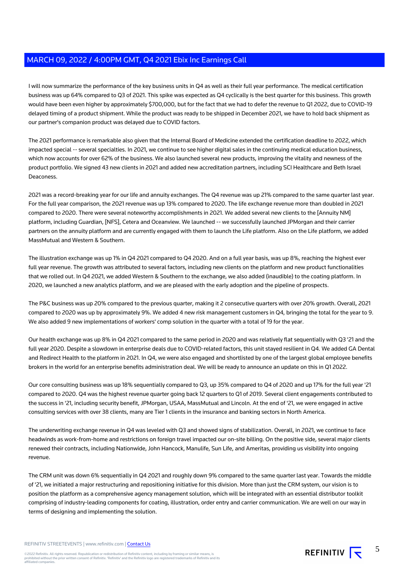I will now summarize the performance of the key business units in Q4 as well as their full year performance. The medical certification business was up 64% compared to Q3 of 2021. This spike was expected as Q4 cyclically is the best quarter for this business. This growth would have been even higher by approximately \$700,000, but for the fact that we had to defer the revenue to Q1 2022, due to COVID-19 delayed timing of a product shipment. While the product was ready to be shipped in December 2021, we have to hold back shipment as our partner's companion product was delayed due to COVID factors.

The 2021 performance is remarkable also given that the Internal Board of Medicine extended the certification deadline to 2022, which impacted special -- several specialties. In 2021, we continue to see higher digital sales in the continuing medical education business, which now accounts for over 62% of the business. We also launched several new products, improving the vitality and newness of the product portfolio. We signed 43 new clients in 2021 and added new accreditation partners, including SCI Healthcare and Beth Israel Deaconess.

2021 was a record-breaking year for our life and annuity exchanges. The Q4 revenue was up 21% compared to the same quarter last year. For the full year comparison, the 2021 revenue was up 13% compared to 2020. The life exchange revenue more than doubled in 2021 compared to 2020. There were several noteworthy accomplishments in 2021. We added several new clients to the [Annuity NM] platform, including Guardian, [NFS], Cetera and Oceanview. We launched -- we successfully launched JPMorgan and their carrier partners on the annuity platform and are currently engaged with them to launch the Life platform. Also on the Life platform, we added MassMutual and Western & Southern.

The illustration exchange was up 1% in Q4 2021 compared to Q4 2020. And on a full year basis, was up 8%, reaching the highest ever full year revenue. The growth was attributed to several factors, including new clients on the platform and new product functionalities that we rolled out. In Q4 2021, we added Western & Southern to the exchange, we also added (inaudible) to the coating platform. In 2020, we launched a new analytics platform, and we are pleased with the early adoption and the pipeline of prospects.

The P&C business was up 20% compared to the previous quarter, making it 2 consecutive quarters with over 20% growth. Overall, 2021 compared to 2020 was up by approximately 9%. We added 4 new risk management customers in Q4, bringing the total for the year to 9. We also added 9 new implementations of workers' comp solution in the quarter with a total of 19 for the year.

Our health exchange was up 8% in Q4 2021 compared to the same period in 2020 and was relatively flat sequentially with Q3 '21 and the full year 2020. Despite a slowdown in enterprise deals due to COVID-related factors, this unit stayed resilient in Q4. We added GA Dental and Redirect Health to the platform in 2021. In Q4, we were also engaged and shortlisted by one of the largest global employee benefits brokers in the world for an enterprise benefits administration deal. We will be ready to announce an update on this in Q1 2022.

Our core consulting business was up 18% sequentially compared to Q3, up 35% compared to Q4 of 2020 and up 17% for the full year '21 compared to 2020. Q4 was the highest revenue quarter going back 12 quarters to Q1 of 2019. Several client engagements contributed to the success in '21, including security benefit, JPMorgan, USAA, MassMutual and Lincoln. At the end of '21, we were engaged in active consulting services with over 38 clients, many are Tier 1 clients in the insurance and banking sectors in North America.

The underwriting exchange revenue in Q4 was leveled with Q3 and showed signs of stabilization. Overall, in 2021, we continue to face headwinds as work-from-home and restrictions on foreign travel impacted our on-site billing. On the positive side, several major clients renewed their contracts, including Nationwide, John Hancock, Manulife, Sun Life, and Ameritas, providing us visibility into ongoing revenue.

The CRM unit was down 6% sequentially in Q4 2021 and roughly down 9% compared to the same quarter last year. Towards the middle of '21, we initiated a major restructuring and repositioning initiative for this division. More than just the CRM system, our vision is to position the platform as a comprehensive agency management solution, which will be integrated with an essential distributor toolkit comprising of industry-leading components for coating, illustration, order entry and carrier communication. We are well on our way in terms of designing and implementing the solution.

REFINITIV STREETEVENTS | www.refinitiv.com | [Contact Us](https://www.refinitiv.com/en/contact-us)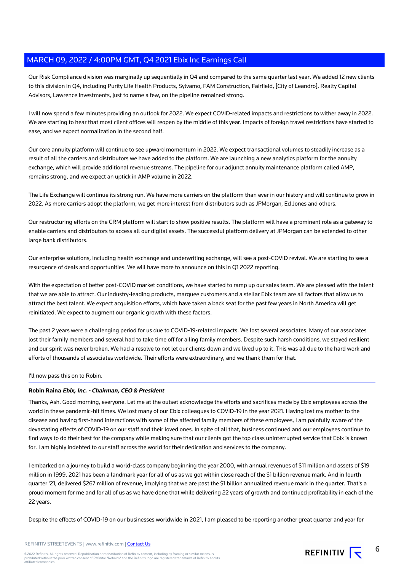Our Risk Compliance division was marginally up sequentially in Q4 and compared to the same quarter last year. We added 12 new clients to this division in Q4, including Purity Life Health Products, Sylvamo, FAM Construction, Fairfield, [City of Leandro], Realty Capital Advisors, Lawrence Investments, just to name a few, on the pipeline remained strong.

I will now spend a few minutes providing an outlook for 2022. We expect COVID-related impacts and restrictions to wither away in 2022. We are starting to hear that most client offices will reopen by the middle of this year. Impacts of foreign travel restrictions have started to ease, and we expect normalization in the second half.

Our core annuity platform will continue to see upward momentum in 2022. We expect transactional volumes to steadily increase as a result of all the carriers and distributors we have added to the platform. We are launching a new analytics platform for the annuity exchange, which will provide additional revenue streams. The pipeline for our adjunct annuity maintenance platform called AMP, remains strong, and we expect an uptick in AMP volume in 2022.

The Life Exchange will continue its strong run. We have more carriers on the platform than ever in our history and will continue to grow in 2022. As more carriers adopt the platform, we get more interest from distributors such as JPMorgan, Ed Jones and others.

Our restructuring efforts on the CRM platform will start to show positive results. The platform will have a prominent role as a gateway to enable carriers and distributors to access all our digital assets. The successful platform delivery at JPMorgan can be extended to other large bank distributors.

Our enterprise solutions, including health exchange and underwriting exchange, will see a post-COVID revival. We are starting to see a resurgence of deals and opportunities. We will have more to announce on this in Q1 2022 reporting.

With the expectation of better post-COVID market conditions, we have started to ramp up our sales team. We are pleased with the talent that we are able to attract. Our industry-leading products, marquee customers and a stellar Ebix team are all factors that allow us to attract the best talent. We expect acquisition efforts, which have taken a back seat for the past few years in North America will get reinitiated. We expect to augment our organic growth with these factors.

The past 2 years were a challenging period for us due to COVID-19-related impacts. We lost several associates. Many of our associates lost their family members and several had to take time off for ailing family members. Despite such harsh conditions, we stayed resilient and our spirit was never broken. We had a resolve to not let our clients down and we lived up to it. This was all due to the hard work and efforts of thousands of associates worldwide. Their efforts were extraordinary, and we thank them for that.

I'll now pass this on to Robin.

## **Robin Raina Ebix, Inc. - Chairman, CEO & President**

Thanks, Ash. Good morning, everyone. Let me at the outset acknowledge the efforts and sacrifices made by Ebix employees across the world in these pandemic-hit times. We lost many of our Ebix colleagues to COVID-19 in the year 2021. Having lost my mother to the disease and having first-hand interactions with some of the affected family members of these employees, I am painfully aware of the devastating effects of COVID-19 on our staff and their loved ones. In spite of all that, business continued and our employees continue to find ways to do their best for the company while making sure that our clients got the top class uninterrupted service that Ebix is known for. I am highly indebted to our staff across the world for their dedication and services to the company.

I embarked on a journey to build a world-class company beginning the year 2000, with annual revenues of \$11 million and assets of \$19 million in 1999. 2021 has been a landmark year for all of us as we got within close reach of the \$1 billion revenue mark. And in fourth quarter '21, delivered \$267 million of revenue, implying that we are past the \$1 billion annualized revenue mark in the quarter. That's a proud moment for me and for all of us as we have done that while delivering 22 years of growth and continued profitability in each of the 22 years.

Despite the effects of COVID-19 on our businesses worldwide in 2021, I am pleased to be reporting another great quarter and year for

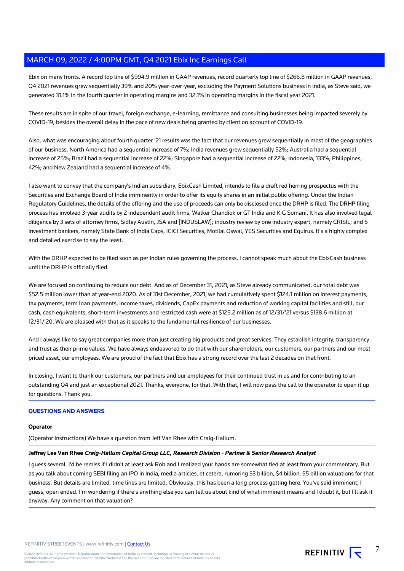Ebix on many fronts. A record top line of \$994.9 million in GAAP revenues, record quarterly top line of \$266.8 million in GAAP revenues, Q4 2021 revenues grew sequentially 39% and 20% year-over-year, excluding the Payment Solutions business in India, as Steve said, we generated 31.1% in the fourth quarter in operating margins and 32.1% in operating margins in the fiscal year 2021.

These results are in spite of our travel, foreign exchange, e-learning, remittance and consulting businesses being impacted severely by COVID-19, besides the overall delay in the pace of new deals being granted by client on account of COVID-19.

Also, what was encouraging about fourth quarter '21 results was the fact that our revenues grew sequentially in most of the geographies of our business. North America had a sequential increase of 7%; India revenues grew sequentially 52%; Australia had a sequential increase of 25%; Brazil had a sequential increase of 22%; Singapore had a sequential increase of 22%; Indonesia, 133%; Philippines, 42%; and New Zealand had a sequential increase of 4%.

I also want to convey that the company's Indian subsidiary, EbixCash Limited, intends to file a draft red herring prospectus with the Securities and Exchange Board of India imminently in order to offer its equity shares in an initial public offering. Under the Indian Regulatory Guidelines, the details of the offering and the use of proceeds can only be disclosed once the DRHP is filed. The DRHP filing process has involved 3-year audits by 2 independent audit firms, Walker Chandiok or GT India and K G Somani. It has also involved legal diligence by 3 sets of attorney firms, Sidley Austin, JSA and [INDUSLAW]; industry review by one industry expert, namely CRISIL; and 5 investment bankers, namely State Bank of India Caps, ICICI Securities, Motilal Oswal, YES Securities and Equirus. It's a highly complex and detailed exercise to say the least.

With the DRHP expected to be filed soon as per Indian rules governing the process, I cannot speak much about the EbixCash business until the DRHP is officially filed.

We are focused on continuing to reduce our debt. And as of December 31, 2021, as Steve already communicated, our total debt was \$52.5 million lower than at year-end 2020. As of 31st December, 2021, we had cumulatively spent \$124.1 million on interest payments, tax payments, term loan payments, income taxes, dividends, CapEx payments and reduction of working capital facilities and still, our cash, cash equivalents, short-term investments and restricted cash were at \$125.2 million as of 12/31/'21 versus \$138.6 million at 12/31/'20. We are pleased with that as it speaks to the fundamental resilience of our businesses.

And I always like to say great companies more than just creating big products and great services. They establish integrity, transparency and trust as their prime values. We have always endeavored to do that with our shareholders, our customers, our partners and our most priced asset, our employees. We are proud of the fact that Ebix has a strong record over the last 2 decades on that front.

In closing, I want to thank our customers, our partners and our employees for their continued trust in us and for contributing to an outstanding Q4 and just an exceptional 2021. Thanks, everyone, for that. With that, I will now pass the call to the operator to open it up for questions. Thank you.

## **QUESTIONS AND ANSWERS**

#### **Operator**

(Operator Instructions) We have a question from Jeff Van Rhee with Craig-Hallum.

## **Jeffrey Lee Van Rhee Craig-Hallum Capital Group LLC, Research Division - Partner & Senior Research Analyst**

I guess several. I'd be remiss if I didn't at least ask Rob and I realized your hands are somewhat tied at least from your commentary. But as you talk about coming SEBI filing an IPO in India, media articles, et cetera, rumoring \$3 billion, \$4 billion, \$5 billion valuations for that business. But details are limited, time lines are limited. Obviously, this has been a long process getting here. You've said imminent, I guess, open ended. I'm wondering if there's anything else you can tell us about kind of what imminent means and I doubt it, but I'll ask it anyway. Any comment on that valuation?

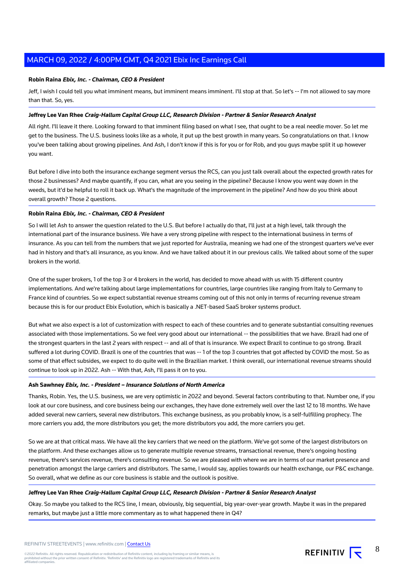#### **Robin Raina Ebix, Inc. - Chairman, CEO & President**

Jeff, I wish I could tell you what imminent means, but imminent means imminent. I'll stop at that. So let's -- I'm not allowed to say more than that. So, yes.

## **Jeffrey Lee Van Rhee Craig-Hallum Capital Group LLC, Research Division - Partner & Senior Research Analyst**

All right. I'll leave it there. Looking forward to that imminent filing based on what I see, that ought to be a real needle mover. So let me get to the business. The U.S. business looks like as a whole, it put up the best growth in many years. So congratulations on that. I know you've been talking about growing pipelines. And Ash, I don't know if this is for you or for Rob, and you guys maybe split it up however you want.

But before I dive into both the insurance exchange segment versus the RCS, can you just talk overall about the expected growth rates for those 2 businesses? And maybe quantify, if you can, what are you seeing in the pipeline? Because I know you went way down in the weeds, but it'd be helpful to roll it back up. What's the magnitude of the improvement in the pipeline? And how do you think about overall growth? Those 2 questions.

# **Robin Raina Ebix, Inc. - Chairman, CEO & President**

So I will let Ash to answer the question related to the U.S. But before I actually do that, I'll just at a high level, talk through the international part of the insurance business. We have a very strong pipeline with respect to the international business in terms of insurance. As you can tell from the numbers that we just reported for Australia, meaning we had one of the strongest quarters we've ever had in history and that's all insurance, as you know. And we have talked about it in our previous calls. We talked about some of the super brokers in the world.

One of the super brokers, 1 of the top 3 or 4 brokers in the world, has decided to move ahead with us with 15 different country implementations. And we're talking about large implementations for countries, large countries like ranging from Italy to Germany to France kind of countries. So we expect substantial revenue streams coming out of this not only in terms of recurring revenue stream because this is for our product Ebix Evolution, which is basically a .NET-based SaaS broker systems product.

But what we also expect is a lot of customization with respect to each of these countries and to generate substantial consulting revenues associated with those implementations. So we feel very good about our international -- the possibilities that we have. Brazil had one of the strongest quarters in the last 2 years with respect -- and all of that is insurance. We expect Brazil to continue to go strong. Brazil suffered a lot during COVID. Brazil is one of the countries that was -- 1 of the top 3 countries that got affected by COVID the most. So as some of that effect subsides, we expect to do quite well in the Brazilian market. I think overall, our international revenue streams should continue to look up in 2022. Ash -- With that, Ash, I'll pass it on to you.

#### **Ash Sawhney Ebix, Inc. - President – Insurance Solutions of North America**

Thanks, Robin. Yes, the U.S. business, we are very optimistic in 2022 and beyond. Several factors contributing to that. Number one, if you look at our core business, and core business being our exchanges, they have done extremely well over the last 12 to 18 months. We have added several new carriers, several new distributors. This exchange business, as you probably know, is a self-fulfilling prophecy. The more carriers you add, the more distributors you get; the more distributors you add, the more carriers you get.

So we are at that critical mass. We have all the key carriers that we need on the platform. We've got some of the largest distributors on the platform. And these exchanges allow us to generate multiple revenue streams, transactional revenue, there's ongoing hosting revenue, there's services revenue, there's consulting revenue. So we are pleased with where we are in terms of our market presence and penetration amongst the large carriers and distributors. The same, I would say, applies towards our health exchange, our P&C exchange. So overall, what we define as our core business is stable and the outlook is positive.

## **Jeffrey Lee Van Rhee Craig-Hallum Capital Group LLC, Research Division - Partner & Senior Research Analyst**

Okay. So maybe you talked to the RCS line, I mean, obviously, big sequential, big year-over-year growth. Maybe it was in the prepared remarks, but maybe just a little more commentary as to what happened there in Q4?

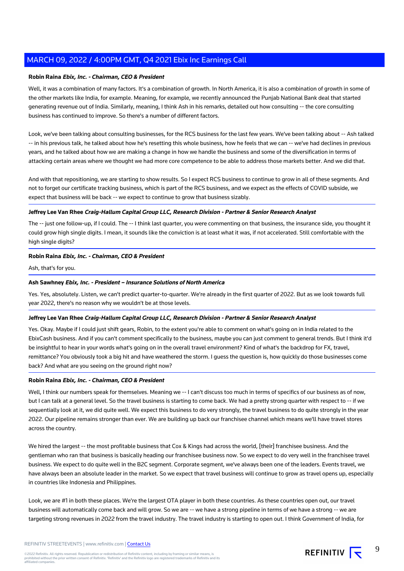## **Robin Raina Ebix, Inc. - Chairman, CEO & President**

Well, it was a combination of many factors. It's a combination of growth. In North America, it is also a combination of growth in some of the other markets like India, for example. Meaning, for example, we recently announced the Punjab National Bank deal that started generating revenue out of India. Similarly, meaning, I think Ash in his remarks, detailed out how consulting -- the core consulting business has continued to improve. So there's a number of different factors.

Look, we've been talking about consulting businesses, for the RCS business for the last few years. We've been talking about -- Ash talked -- in his previous talk, he talked about how he's resetting this whole business, how he feels that we can -- we've had declines in previous years, and he talked about how we are making a change in how we handle the business and some of the diversification in terms of attacking certain areas where we thought we had more core competence to be able to address those markets better. And we did that.

And with that repositioning, we are starting to show results. So I expect RCS business to continue to grow in all of these segments. And not to forget our certificate tracking business, which is part of the RCS business, and we expect as the effects of COVID subside, we expect that business will be back -- we expect to continue to grow that business sizably.

# **Jeffrey Lee Van Rhee Craig-Hallum Capital Group LLC, Research Division - Partner & Senior Research Analyst**

The -- just one follow-up, if I could. The -- I think last quarter, you were commenting on that business, the insurance side, you thought it could grow high single digits. I mean, it sounds like the conviction is at least what it was, if not accelerated. Still comfortable with the high single digits?

# **Robin Raina Ebix, Inc. - Chairman, CEO & President**

Ash, that's for you.

# **Ash Sawhney Ebix, Inc. - President – Insurance Solutions of North America**

Yes. Yes, absolutely. Listen, we can't predict quarter-to-quarter. We're already in the first quarter of 2022. But as we look towards full year 2022, there's no reason why we wouldn't be at those levels.

## **Jeffrey Lee Van Rhee Craig-Hallum Capital Group LLC, Research Division - Partner & Senior Research Analyst**

Yes. Okay. Maybe if I could just shift gears, Robin, to the extent you're able to comment on what's going on in India related to the EbixCash business. And if you can't comment specifically to the business, maybe you can just comment to general trends. But I think it'd be insightful to hear in your words what's going on in the overall travel environment? Kind of what's the backdrop for FX, travel, remittance? You obviously took a big hit and have weathered the storm. I guess the question is, how quickly do those businesses come back? And what are you seeing on the ground right now?

## **Robin Raina Ebix, Inc. - Chairman, CEO & President**

Well, I think our numbers speak for themselves. Meaning we -- I can't discuss too much in terms of specifics of our business as of now, but I can talk at a general level. So the travel business is starting to come back. We had a pretty strong quarter with respect to -- if we sequentially look at it, we did quite well. We expect this business to do very strongly, the travel business to do quite strongly in the year 2022. Our pipeline remains stronger than ever. We are building up back our franchisee channel which means we'll have travel stores across the country.

We hired the largest -- the most profitable business that Cox & Kings had across the world, [their] franchisee business. And the gentleman who ran that business is basically heading our franchisee business now. So we expect to do very well in the franchisee travel business. We expect to do quite well in the B2C segment. Corporate segment, we've always been one of the leaders. Events travel, we have always been an absolute leader in the market. So we expect that travel business will continue to grow as travel opens up, especially in countries like Indonesia and Philippines.

Look, we are #1 in both these places. We're the largest OTA player in both these countries. As these countries open out, our travel business will automatically come back and will grow. So we are -- we have a strong pipeline in terms of we have a strong -- we are targeting strong revenues in 2022 from the travel industry. The travel industry is starting to open out. I think Government of India, for

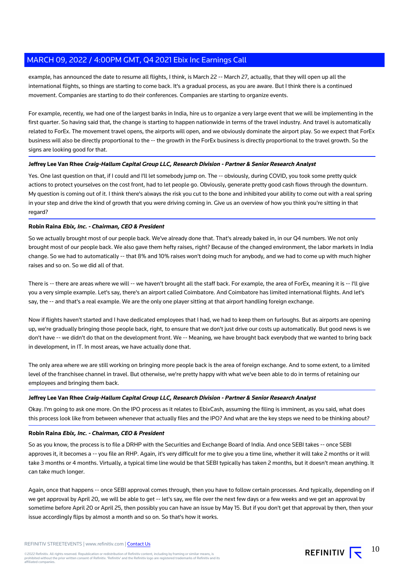example, has announced the date to resume all flights, I think, is March 22 -- March 27, actually, that they will open up all the international flights, so things are starting to come back. It's a gradual process, as you are aware. But I think there is a continued movement. Companies are starting to do their conferences. Companies are starting to organize events.

For example, recently, we had one of the largest banks in India, hire us to organize a very large event that we will be implementing in the first quarter. So having said that, the change is starting to happen nationwide in terms of the travel industry. And travel is automatically related to ForEx. The movement travel opens, the airports will open, and we obviously dominate the airport play. So we expect that ForEx business will also be directly proportional to the -- the growth in the ForEx business is directly proportional to the travel growth. So the signs are looking good for that.

## **Jeffrey Lee Van Rhee Craig-Hallum Capital Group LLC, Research Division - Partner & Senior Research Analyst**

Yes. One last question on that, if I could and I'll let somebody jump on. The -- obviously, during COVID, you took some pretty quick actions to protect yourselves on the cost front, had to let people go. Obviously, generate pretty good cash flows through the downturn. My question is coming out of it. I think there's always the risk you cut to the bone and inhibited your ability to come out with a real spring in your step and drive the kind of growth that you were driving coming in. Give us an overview of how you think you're sitting in that regard?

## **Robin Raina Ebix, Inc. - Chairman, CEO & President**

So we actually brought most of our people back. We've already done that. That's already baked in, in our Q4 numbers. We not only brought most of our people back. We also gave them hefty raises, right? Because of the changed environment, the labor markets in India change. So we had to automatically -- that 8% and 10% raises won't doing much for anybody, and we had to come up with much higher raises and so on. So we did all of that.

There is -- there are areas where we will -- we haven't brought all the staff back. For example, the area of ForEx, meaning it is -- I'll give you a very simple example. Let's say, there's an airport called Coimbatore. And Coimbatore has limited international flights. And let's say, the -- and that's a real example. We are the only one player sitting at that airport handling foreign exchange.

Now if flights haven't started and I have dedicated employees that I had, we had to keep them on furloughs. But as airports are opening up, we're gradually bringing those people back, right, to ensure that we don't just drive our costs up automatically. But good news is we don't have -- we didn't do that on the development front. We -- Meaning, we have brought back everybody that we wanted to bring back in development, in IT. In most areas, we have actually done that.

The only area where we are still working on bringing more people back is the area of foreign exchange. And to some extent, to a limited level of the franchisee channel in travel. But otherwise, we're pretty happy with what we've been able to do in terms of retaining our employees and bringing them back.

## **Jeffrey Lee Van Rhee Craig-Hallum Capital Group LLC, Research Division - Partner & Senior Research Analyst**

Okay. I'm going to ask one more. On the IPO process as it relates to EbixCash, assuming the filing is imminent, as you said, what does this process look like from between whenever that actually files and the IPO? And what are the key steps we need to be thinking about?

## **Robin Raina Ebix, Inc. - Chairman, CEO & President**

So as you know, the process is to file a DRHP with the Securities and Exchange Board of India. And once SEBI takes -- once SEBI approves it, it becomes a -- you file an RHP. Again, it's very difficult for me to give you a time line, whether it will take 2 months or it will take 3 months or 4 months. Virtually, a typical time line would be that SEBI typically has taken 2 months, but it doesn't mean anything. It can take much longer.

Again, once that happens -- once SEBI approval comes through, then you have to follow certain processes. And typically, depending on if we get approval by April 20, we will be able to get -- let's say, we file over the next few days or a few weeks and we get an approval by sometime before April 20 or April 25, then possibly you can have an issue by May 15. But if you don't get that approval by then, then your issue accordingly flips by almost a month and so on. So that's how it works.

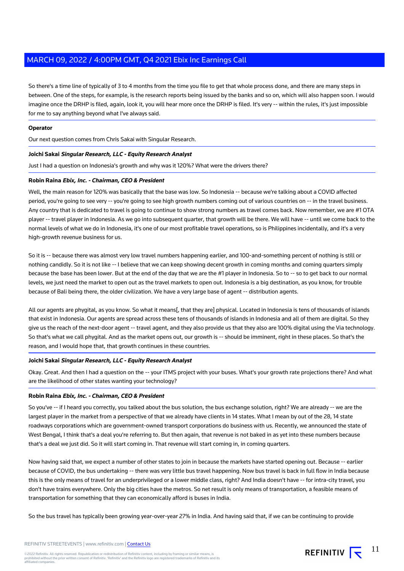So there's a time line of typically of 3 to 4 months from the time you file to get that whole process done, and there are many steps in between. One of the steps, for example, is the research reports being issued by the banks and so on, which will also happen soon. I would imagine once the DRHP is filed, again, look it, you will hear more once the DRHP is filed. It's very -- within the rules, it's just impossible for me to say anything beyond what I've always said.

# **Operator**

Our next question comes from Chris Sakai with Singular Research.

#### **Joichi Sakai Singular Research, LLC - Equity Research Analyst**

Just I had a question on Indonesia's growth and why was it 120%? What were the drivers there?

#### **Robin Raina Ebix, Inc. - Chairman, CEO & President**

Well, the main reason for 120% was basically that the base was low. So Indonesia -- because we're talking about a COVID affected period, you're going to see very -- you're going to see high growth numbers coming out of various countries on -- in the travel business. Any country that is dedicated to travel is going to continue to show strong numbers as travel comes back. Now remember, we are #1 OTA player -- travel player in Indonesia. As we go into subsequent quarter, that growth will be there. We will have -- until we come back to the normal levels of what we do in Indonesia, it's one of our most profitable travel operations, so is Philippines incidentally, and it's a very high-growth revenue business for us.

So it is -- because there was almost very low travel numbers happening earlier, and 100-and-something percent of nothing is still or nothing candidly. So it is not like -- I believe that we can keep showing decent growth in coming months and coming quarters simply because the base has been lower. But at the end of the day that we are the #1 player in Indonesia. So to -- so to get back to our normal levels, we just need the market to open out as the travel markets to open out. Indonesia is a big destination, as you know, for trouble because of Bali being there, the older civilization. We have a very large base of agent -- distribution agents.

All our agents are phygital, as you know. So what it means[, that they are] physical. Located in Indonesia is tens of thousands of islands that exist in Indonesia. Our agents are spread across these tens of thousands of islands in Indonesia and all of them are digital. So they give us the reach of the next-door agent -- travel agent, and they also provide us that they also are 100% digital using the Via technology. So that's what we call phygital. And as the market opens out, our growth is -- should be imminent, right in these places. So that's the reason, and I would hope that, that growth continues in these countries.

# **Joichi Sakai Singular Research, LLC - Equity Research Analyst**

Okay. Great. And then I had a question on the -- your ITMS project with your buses. What's your growth rate projections there? And what are the likelihood of other states wanting your technology?

## **Robin Raina Ebix, Inc. - Chairman, CEO & President**

So you've -- if I heard you correctly, you talked about the bus solution, the bus exchange solution, right? We are already -- we are the largest player in the market from a perspective of that we already have clients in 14 states. What I mean by out of the 28, 14 state roadways corporations which are government-owned transport corporations do business with us. Recently, we announced the state of West Bengal, I think that's a deal you're referring to. But then again, that revenue is not baked in as yet into these numbers because that's a deal we just did. So it will start coming in. That revenue will start coming in, in coming quarters.

Now having said that, we expect a number of other states to join in because the markets have started opening out. Because -- earlier because of COVID, the bus undertaking -- there was very little bus travel happening. Now bus travel is back in full flow in India because this is the only means of travel for an underprivileged or a lower middle class, right? And India doesn't have -- for intra-city travel, you don't have trains everywhere. Only the big cities have the metros. So net result is only means of transportation, a feasible means of transportation for something that they can economically afford is buses in India.

So the bus travel has typically been growing year-over-year 27% in India. And having said that, if we can be continuing to provide